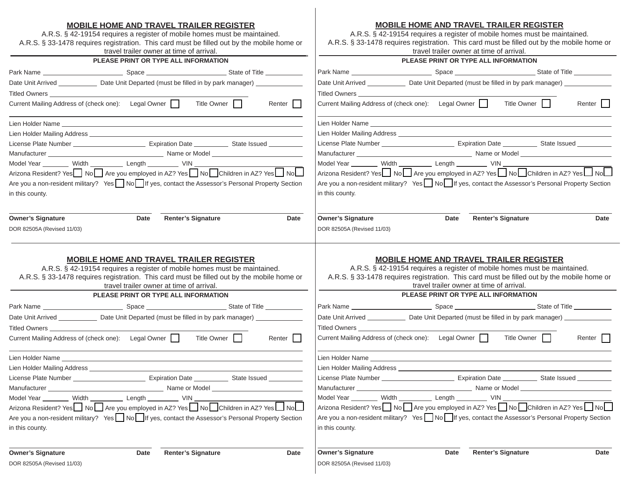### **MOBILE HOME AND TRAVEL TRAILER REGISTER**A.R.S. § 42-19154 requires a register of mobile homes must be maintained. A.R.S. § 33-1478 requires registration. This card must be filled out by the mobile home or travel trailer owner at time of arrival. **PLEASE PRINT OR TYPE ALL INFORMATION**Park Name Space State of Title Date Unit Arrived Date Unit Departed (must be filled in by park manager) Titled Owners Current Mailing Address of (check one): Legal Owner Title Owner Title Thenter Title Lien Holder Name Lien Holder Mailing Address \_\_\_\_\_\_\_\_\_\_\_\_\_\_\_\_ License Plate Number **Expiration Date Communist State Issued** Manufacturer Name or Model Model Year \_\_\_\_\_\_\_\_ Width \_\_\_\_\_\_\_\_\_\_ Length \_\_\_\_\_\_\_\_ VIN \_\_\_\_\_\_\_\_\_\_\_\_\_\_\_\_\_\_\_\_\_\_\_ Arizona Resident? Yes  $\Box$  No  $\Box$  Are you employed in AZ? Yes  $\Box$  No  $\Box$  Children in AZ? Yes  $\Box$  No  $\Box$ Are you a non-resident military? Yes No I If yes, contact the Assessor's Personal Property Section in this county. **Owner's Signature Community Community Community Community Community Community Community Community Community Community Community Community Community Community Community Community Community Community Community Community Com MOBILE HOME AND TRAVEL TRAILER REGISTER**A.R.S. § 42-19154 requires a register of mobile homes must be maintained. A.R.S. § 33-1478 requires registration. This card must be filled out by the mobile home or travel trailer owner at time of arrival.**PLEASE PRINT OR TYPE ALL INFORMATION**Park Name Space State of Title Date Unit Arrived \_\_\_\_\_\_\_\_\_\_\_\_\_\_\_\_ Date Unit Departed (must be filled in by park manager) \_\_\_\_\_\_\_\_\_\_\_\_\_\_\_ Titled Owners Current Mailing Address of (check one): Legal Owner Title Owner Title Title Owner Renter Lien Holder Name Lien Holder Mailing Address License Plate Number Expiration Date State Issued Manufacturer Letter Annual Communication of Model Model Year Width Length VIN Arizona Resident? Yes  $\Box$  No  $\Box$  Are you employed in AZ? Yes  $\Box$  No  $\Box$  Children in AZ? Yes  $\Box$  No  $\Box$ Are you a non-resident military? Yes  $\Box$  No  $\Box$  If yes, contact the Assessor's Personal Property Section in this county. **Owner's Signature Date Renter's Signature Date**

# **MOBILE HOME AND TRAVEL TRAILER REGISTER**

A.R.S. § 42-19154 requires a register of mobile homes must be maintained. A.R.S. § 33-1478 requires registration. This card must be filled out by the mobile home or travel trailer owner at time of arrival.

| PLEASE PRINT OR TYPE ALL INFORMATION                                                                                                                                              |  |  |  |  |  |
|-----------------------------------------------------------------------------------------------------------------------------------------------------------------------------------|--|--|--|--|--|
|                                                                                                                                                                                   |  |  |  |  |  |
| Date Unit Arrived ________________ Date Unit Departed (must be filled in by park manager)                                                                                         |  |  |  |  |  |
|                                                                                                                                                                                   |  |  |  |  |  |
| Current Mailing Address of (check one): Legal Owner    <br>Title Owner<br>Renter                                                                                                  |  |  |  |  |  |
|                                                                                                                                                                                   |  |  |  |  |  |
|                                                                                                                                                                                   |  |  |  |  |  |
|                                                                                                                                                                                   |  |  |  |  |  |
|                                                                                                                                                                                   |  |  |  |  |  |
|                                                                                                                                                                                   |  |  |  |  |  |
| Model Year ________ Width __________ Length ________ VIN ______________<br>Arizona Resident? Yes ___ No _____ Are you employed in AZ? Yes ____ No ____Children in AZ? Yes ____ No |  |  |  |  |  |
| Are you a non-resident military? Yes No If yes, contact the Assessor's Personal Property Section                                                                                  |  |  |  |  |  |
| in this county.                                                                                                                                                                   |  |  |  |  |  |

| A.R.S. § 42-19154 requires a register of mobile homes must be maintained.<br>A.R.S. § 33-1478 requires registration. This card must be filled out by the mobile home or                                                        | <b>MOBILE HOME AND TRAVEL TRAILER REGISTER</b> |                           |             |        |  |
|--------------------------------------------------------------------------------------------------------------------------------------------------------------------------------------------------------------------------------|------------------------------------------------|---------------------------|-------------|--------|--|
|                                                                                                                                                                                                                                | travel trailer owner at time of arrival.       |                           |             |        |  |
| PLEASE PRINT OR TYPE ALL INFORMATION                                                                                                                                                                                           |                                                |                           |             |        |  |
| Park Name _____________________________Space ________________________State of Title ____________                                                                                                                               |                                                |                           |             |        |  |
| Date Unit Arrived ________________ Date Unit Departed (must be filled in by park manager) ______________                                                                                                                       |                                                |                           |             |        |  |
| Titled Owners and the contract of the contract of the contract of the contract of the contract of the contract of the contract of the contract of the contract of the contract of the contract of the contract of the contract |                                                |                           |             |        |  |
| Current Mailing Address of (check one): Legal Owner                                                                                                                                                                            |                                                |                           | Title Owner | Renter |  |
|                                                                                                                                                                                                                                |                                                |                           |             |        |  |
|                                                                                                                                                                                                                                |                                                |                           |             |        |  |
|                                                                                                                                                                                                                                |                                                |                           |             |        |  |
|                                                                                                                                                                                                                                |                                                |                           |             |        |  |
| Model Year _________ Width __________ Length __________ VIN ____________________                                                                                                                                               |                                                |                           |             |        |  |
| Arizona Resident? Yes Alo Are you employed in AZ? Yes Alo Children in AZ? Yes Alo                                                                                                                                              |                                                |                           |             |        |  |
| Are you a non-resident military? Yes No If yes, contact the Assessor's Personal Property Section                                                                                                                               |                                                |                           |             |        |  |
| in this county.                                                                                                                                                                                                                |                                                |                           |             |        |  |
|                                                                                                                                                                                                                                |                                                |                           |             |        |  |
| <b>Owner's Signature</b>                                                                                                                                                                                                       | Date                                           | <b>Renter's Signature</b> |             | Date   |  |

DOR 82505A (Revised 11/03)

DOR 82505A (Revised 11/03)